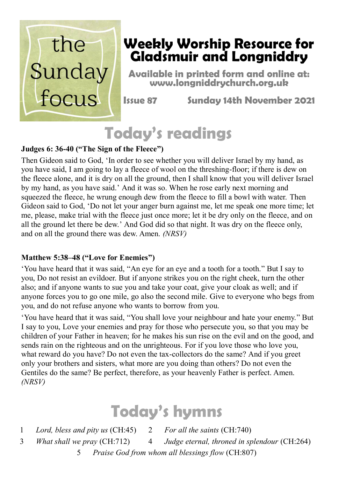

#### **Weekly Worship Resource for Gladsmuir and Longniddry**

**Available in printed form and online at: www.longniddrychurch.org.uk**

**Issue 87 Sunday 14th November 2021**

# **Today's readings**

#### **Judges 6: 36-40 ("The Sign of the Fleece")**

Then Gideon said to God, 'In order to see whether you will deliver Israel by my hand, as you have said, I am going to lay a fleece of wool on the threshing-floor; if there is dew on the fleece alone, and it is dry on all the ground, then I shall know that you will deliver Israel by my hand, as you have said.' And it was so. When he rose early next morning and squeezed the fleece, he wrung enough dew from the fleece to fill a bowl with water. Then Gideon said to God, 'Do not let your anger burn against me, let me speak one more time; let me, please, make trial with the fleece just once more; let it be dry only on the fleece, and on all the ground let there be dew.' And God did so that night. It was dry on the fleece only, and on all the ground there was dew. Amen. *(NRSV)*

#### **Matthew 5:38–48 ("Love for Enemies")**

'You have heard that it was said, "An eye for an eye and a tooth for a tooth." But I say to you, Do not resist an evildoer. But if anyone strikes you on the right cheek, turn the other also; and if anyone wants to sue you and take your coat, give your cloak as well; and if anyone forces you to go one mile, go also the second mile. Give to everyone who begs from you, and do not refuse anyone who wants to borrow from you.

'You have heard that it was said, "You shall love your neighbour and hate your enemy." But I say to you, Love your enemies and pray for those who persecute you, so that you may be children of your Father in heaven; for he makes his sun rise on the evil and on the good, and sends rain on the righteous and on the unrighteous. For if you love those who love you, what reward do you have? Do not even the tax-collectors do the same? And if you greet only your brothers and sisters, what more are you doing than others? Do not even the Gentiles do the same? Be perfect, therefore, as your heavenly Father is perfect. Amen. *(NRSV)*

### **Today's hymns**

1 *Lord, bless and pity us* (CH:45) 2 *For all the saints* (CH:740)

- 3 *What shall we pray* (CH:712) 4 *Judge eternal, throned in splendour* (CH:264)
	- 5 *Praise God from whom all blessings flow* (CH:807)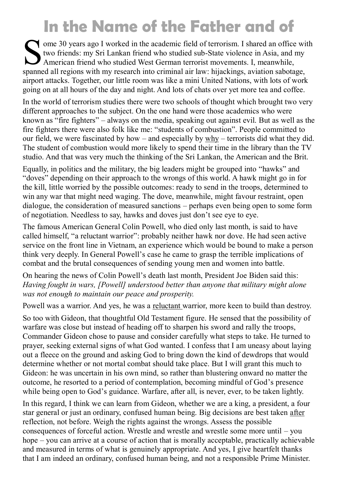# **In the Name of the Father and of**

S ome 30 years ago I worked in the academic field of terrorism. I shared an office with two friends: my Sri Lankan friend who studied sub-State violence in Asia, and my American friend who studied West German terrorist movements. I, meanwhile, spanned all regions with my research into criminal air law: hijackings, aviation sabotage, airport attacks. Together, our little room was like a mini United Nations, with lots of work going on at all hours of the day and night. And lots of chats over yet more tea and coffee.

In the world of terrorism studies there were two schools of thought which brought two very different approaches to the subject. On the one hand were those academics who were known as "fire fighters" – always on the media, speaking out against evil. But as well as the fire fighters there were also folk like me: "students of combustion". People committed to our field, we were fascinated by how – and especially by  $why$  – terrorists did what they did. The student of combustion would more likely to spend their time in the library than the TV studio. And that was very much the thinking of the Sri Lankan, the American and the Brit.

Equally, in politics and the military, the big leaders might be grouped into "hawks" and "doves" depending on their approach to the wrongs of this world. A hawk might go in for the kill, little worried by the possible outcomes: ready to send in the troops, determined to win any war that might need waging. The dove, meanwhile, might favour restraint, open dialogue, the consideration of measured sanctions – perhaps even being open to some form of negotiation. Needless to say, hawks and doves just don't see eye to eye.

The famous American General Colin Powell, who died only last month, is said to have called himself, "a reluctant warrior": probably neither hawk nor dove. He had seen active service on the front line in Vietnam, an experience which would be bound to make a person think very deeply. In General Powell's case he came to grasp the terrible implications of combat and the brutal consequences of sending young men and women into battle.

On hearing the news of Colin Powell's death last month, President Joe Biden said this: *Having fought in wars, [Powell] understood better than anyone that military might alone was not enough to maintain our peace and prosperity.*

Powell was a warrior. And yes, he was a reluctant warrior, more keen to build than destroy.

So too with Gideon, that thoughtful Old Testament figure. He sensed that the possibility of warfare was close but instead of heading off to sharpen his sword and rally the troops, Commander Gideon chose to pause and consider carefully what steps to take. He turned to prayer, seeking external signs of what God wanted. I confess that I am uneasy about laying out a fleece on the ground and asking God to bring down the kind of dewdrops that would determine whether or not mortal combat should take place. But I will grant this much to Gideon: he was uncertain in his own mind, so rather than blustering onward no matter the outcome, he resorted to a period of contemplation, becoming mindful of God's presence while being open to God's guidance. Warfare, after all, is never, ever, to be taken lightly.

In this regard, I think we can learn from Gideon, whether we are a king, a president, a four star general or just an ordinary, confused human being. Big decisions are best taken after reflection, not before. Weigh the rights against the wrongs. Assess the possible consequences of forceful action. Wrestle and wrestle and wrestle some more until – you hope – you can arrive at a course of action that is morally acceptable, practically achievable and measured in terms of what is genuinely appropriate. And yes, I give heartfelt thanks that I am indeed an ordinary, confused human being, and not a responsible Prime Minister.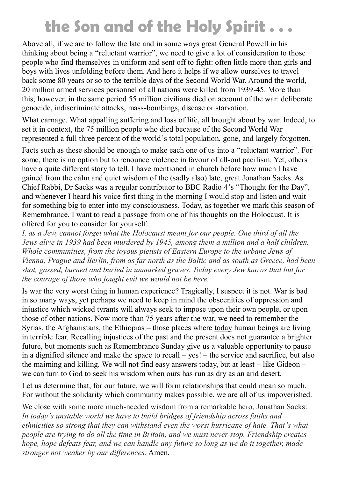### **the Son and of the Holy Spirit . . .**

Above all, if we are to follow the late and in some ways great General Powell in his thinking about being a "reluctant warrior", we need to give a lot of consideration to those people who find themselves in uniform and sent off to fight: often little more than girls and boys with lives unfolding before them. And here it helps if we allow ourselves to travel back some 80 years or so to the terrible days of the Second World War. Around the world, 20 million armed services personnel of all nations were killed from 1939-45. More than this, however, in the same period 55 million civilians died on account of the war: deliberate genocide, indiscriminate attacks, mass-bombings, disease or starvation.

What carnage. What appalling suffering and loss of life, all brought about by war. Indeed, to set it in context, the 75 million people who died because of the Second World War represented a full three percent of the world's total population, gone, and largely forgotten.

Facts such as these should be enough to make each one of us into a "reluctant warrior". For some, there is no option but to renounce violence in favour of all-out pacifism. Yet, others have a quite different story to tell. I have mentioned in church before how much I have gained from the calm and quiet wisdom of the (sadly also) late, great Jonathan Sacks. As Chief Rabbi, Dr Sacks was a regular contributor to BBC Radio 4's "Thought for the Day", and whenever I heard his voice first thing in the morning I would stop and listen and wait for something big to enter into my consciousness. Today, as together we mark this season of Remembrance, I want to read a passage from one of his thoughts on the Holocaust. It is offered for you to consider for yourself:

*I, as a Jew, cannot forget what the Holocaust meant for our people. One third of all the Jews alive in 1939 had been murdered by 1945, among them a million and a half children. Whole communities, from the joyous pietists of Eastern Europe to the urbane Jews of Vienna, Prague and Berlin, from as far north as the Baltic and as south as Greece, had been shot, gassed, burned and buried in unmarked graves. Today every Jew knows that but for the courage of those who fought evil we would not be here.*

Is war the very worst thing in human experience? Tragically, I suspect it is not. War is bad in so many ways, yet perhaps we need to keep in mind the obscenities of oppression and injustice which wicked tyrants will always seek to impose upon their own people, or upon those of other nations. Now more than 75 years after the war, we need to remember the Syrias, the Afghanistans, the Ethiopias – those places where today human beings are living in terrible fear. Recalling injustices of the past and the present does not guarantee a brighter future, but moments such as Remembrance Sunday give us a valuable opportunity to pause in a dignified silence and make the space to recall – yes! – the service and sacrifice, but also the maiming and killing. We will not find easy answers today, but at least – like Gideon – we can turn to God to seek his wisdom when ours has run as dry as an arid desert.

Let us determine that, for our future, we will form relationships that could mean so much. For without the solidarity which community makes possible, we are all of us impoverished.

We close with some more much-needed wisdom from a remarkable hero, Jonathan Sacks: *In today's unstable world we have to build bridges of friendship across faiths and ethnicities so strong that they can withstand even the worst hurricane of hate. That's what people are trying to do all the time in Britain, and we must never stop. Friendship creates hope, hope defeats fear, and we can handle any future so long as we do it together, made stronger not weaker by our differences.* Amen.